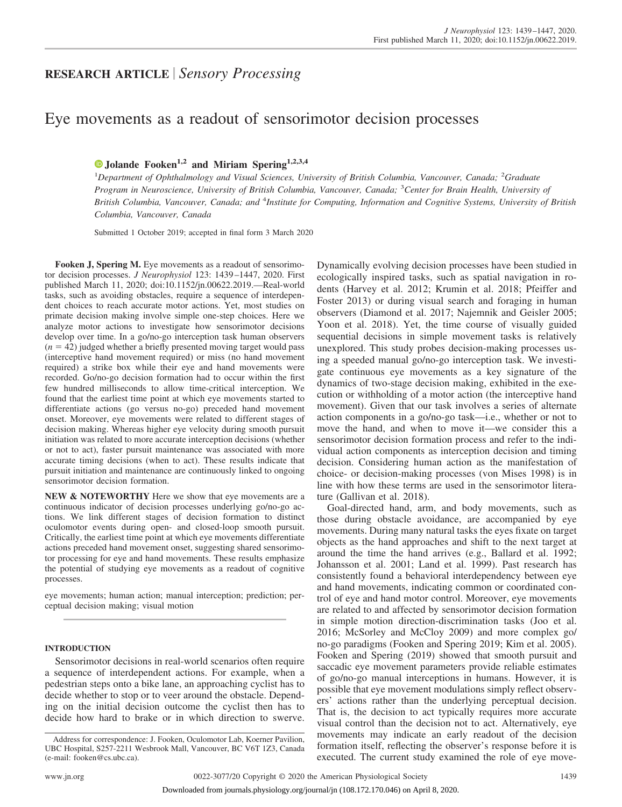## **RESEARCH ARTICLE** *Sensory Processing*

# Eye movements as a readout of sensorimotor decision processes

### **X [Jolande Fooken](https://orcid.org/0000-0002-8788-2266)1,2 and Miriam Spering1,2,3,4**

<sup>1</sup>Department of Ophthalmology and Visual Sciences, University of British Columbia, Vancouver, Canada; <sup>2</sup>Graduate *Program in Neuroscience, University of British Columbia, Vancouver, Canada;* <sup>3</sup> *Center for Brain Health, University of* British Columbia, Vancouver, Canada; and <sup>4</sup>Institute for Computing, Information and Cognitive Systems, University of British *Columbia, Vancouver, Canada*

Submitted 1 October 2019; accepted in final form 3 March 2020

**Fooken J, Spering M.** Eye movements as a readout of sensorimotor decision processes. *J Neurophysiol* 123: 1439 –1447, 2020. First published March 11, 2020; doi[:10.1152/jn.00622.2019.](http://doi.org/10.1152/jn.00622.2019)—Real-world tasks, such as avoiding obstacles, require a sequence of interdependent choices to reach accurate motor actions. Yet, most studies on primate decision making involve simple one-step choices. Here we analyze motor actions to investigate how sensorimotor decisions develop over time. In a go/no-go interception task human observers  $(n = 42)$  judged whether a briefly presented moving target would pass (interceptive hand movement required) or miss (no hand movement required) a strike box while their eye and hand movements were recorded. Go/no-go decision formation had to occur within the first few hundred milliseconds to allow time-critical interception. We found that the earliest time point at which eye movements started to differentiate actions (go versus no-go) preceded hand movement onset. Moreover, eye movements were related to different stages of decision making. Whereas higher eye velocity during smooth pursuit initiation was related to more accurate interception decisions (whether or not to act), faster pursuit maintenance was associated with more accurate timing decisions (when to act). These results indicate that pursuit initiation and maintenance are continuously linked to ongoing sensorimotor decision formation.

**NEW & NOTEWORTHY** Here we show that eye movements are a continuous indicator of decision processes underlying go/no-go actions. We link different stages of decision formation to distinct oculomotor events during open- and closed-loop smooth pursuit. Critically, the earliest time point at which eye movements differentiate actions preceded hand movement onset, suggesting shared sensorimotor processing for eye and hand movements. These results emphasize the potential of studying eye movements as a readout of cognitive processes.

eye movements; human action; manual interception; prediction; perceptual decision making; visual motion

#### **INTRODUCTION**

Sensorimotor decisions in real-world scenarios often require a sequence of interdependent actions. For example, when a pedestrian steps onto a bike lane, an approaching cyclist has to decide whether to stop or to veer around the obstacle. Depending on the initial decision outcome the cyclist then has to decide how hard to brake or in which direction to swerve.

Dynamically evolving decision processes have been studied in ecologically inspired tasks, such as spatial navigation in rodents (Harvey et al. 2012; Krumin et al. 2018; Pfeiffer and Foster 2013) or during visual search and foraging in human observers (Diamond et al. 2017; Najemnik and Geisler 2005; Yoon et al. 2018). Yet, the time course of visually guided sequential decisions in simple movement tasks is relatively unexplored. This study probes decision-making processes using a speeded manual go/no-go interception task. We investigate continuous eye movements as a key signature of the dynamics of two-stage decision making, exhibited in the execution or withholding of a motor action (the interceptive hand movement). Given that our task involves a series of alternate action components in a go/no-go task—i.e., whether or not to move the hand, and when to move it—we consider this a sensorimotor decision formation process and refer to the individual action components as interception decision and timing decision. Considering human action as the manifestation of choice- or decision-making processes (von Mises 1998) is in line with how these terms are used in the sensorimotor literature (Gallivan et al. 2018).

Goal-directed hand, arm, and body movements, such as those during obstacle avoidance, are accompanied by eye movements. During many natural tasks the eyes fixate on target objects as the hand approaches and shift to the next target at around the time the hand arrives (e.g., Ballard et al. 1992; Johansson et al. 2001; Land et al. 1999). Past research has consistently found a behavioral interdependency between eye and hand movements, indicating common or coordinated control of eye and hand motor control. Moreover, eye movements are related to and affected by sensorimotor decision formation in simple motion direction-discrimination tasks (Joo et al. 2016; McSorley and McCloy 2009) and more complex go/ no-go paradigms (Fooken and Spering 2019; Kim et al. 2005). Fooken and Spering (2019) showed that smooth pursuit and saccadic eye movement parameters provide reliable estimates of go/no-go manual interceptions in humans. However, it is possible that eye movement modulations simply reflect observers' actions rather than the underlying perceptual decision. That is, the decision to act typically requires more accurate visual control than the decision not to act. Alternatively, eye movements may indicate an early readout of the decision formation itself, reflecting the observer's response before it is executed. The current study examined the role of eye move-

Address for correspondence: J. Fooken, Oculomotor Lab, Koerner Pavilion, UBC Hospital, S257-2211 Wesbrook Mall, Vancouver, BC V6T 1Z3, Canada (e-mail: [fooken@cs.ubc.ca\)](mailto:fooken@cs.ubc.ca).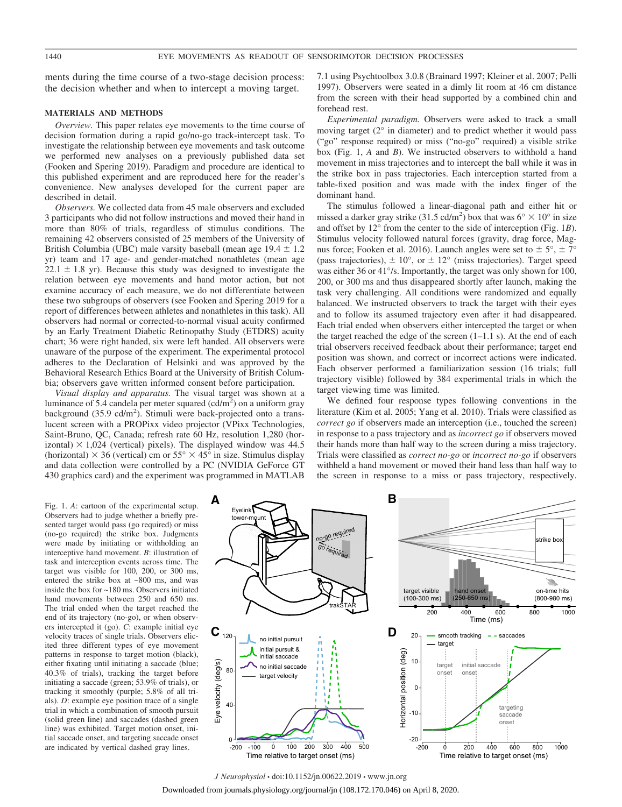ments during the time course of a two-stage decision process: the decision whether and when to intercept a moving target.

#### **MATERIALS AND METHODS**

*Overview.* This paper relates eye movements to the time course of decision formation during a rapid go/no-go track-intercept task. To investigate the relationship between eye movements and task outcome we performed new analyses on a previously published data set (Fooken and Spering 2019). Paradigm and procedure are identical to this published experiment and are reproduced here for the reader's convenience. New analyses developed for the current paper are described in detail.

*Observers.* We collected data from 45 male observers and excluded 3 participants who did not follow instructions and moved their hand in more than 80% of trials, regardless of stimulus conditions. The remaining 42 observers consisted of 25 members of the University of British Columbia (UBC) male varsity baseball (mean age  $19.4 \pm 1.2$ yr) team and 17 age- and gender-matched nonathletes (mean age  $22.1 \pm 1.8$  yr). Because this study was designed to investigate the relation between eye movements and hand motor action, but not examine accuracy of each measure, we do not differentiate between these two subgroups of observers (see Fooken and Spering 2019 for a report of differences between athletes and nonathletes in this task). All observers had normal or corrected-to-normal visual acuity confirmed by an Early Treatment Diabetic Retinopathy Study (ETDRS) acuity chart; 36 were right handed, six were left handed. All observers were unaware of the purpose of the experiment. The experimental protocol adheres to the Declaration of Helsinki and was approved by the Behavioral Research Ethics Board at the University of British Columbia; observers gave written informed consent before participation.

*Visual display and apparatus.* The visual target was shown at a luminance of 5.4 candela per meter squared (cd/m<sup>2</sup>) on a uniform gray background  $(35.9 \text{ cd/m}^2)$ . Stimuli were back-projected onto a translucent screen with a PROPixx video projector (VPixx Technologies, Saint-Bruno, QC, Canada; refresh rate 60 Hz, resolution 1,280 (horizontal)  $\times$  1,024 (vertical) pixels). The displayed window was 44.5 (horizontal)  $\times$  36 (vertical) cm or 55°  $\times$  45° in size. Stimulus display and data collection were controlled by a PC (NVIDIA GeForce GT 430 graphics card) and the experiment was programmed in MATLAB 7.1 using Psychtoolbox 3.0.8 (Brainard 1997; Kleiner et al. 2007; Pelli 1997). Observers were seated in a dimly lit room at 46 cm distance from the screen with their head supported by a combined chin and forehead rest.

*Experimental paradigm.* Observers were asked to track a small moving target (2° in diameter) and to predict whether it would pass ("go" response required) or miss ("no-go" required) a visible strike box (Fig. 1, *A* and *B*). We instructed observers to withhold a hand movement in miss trajectories and to intercept the ball while it was in the strike box in pass trajectories. Each interception started from a table-fixed position and was made with the index finger of the dominant hand.

The stimulus followed a linear-diagonal path and either hit or missed a darker gray strike (31.5 cd/m<sup>2</sup>) box that was  $6^{\circ} \times 10^{\circ}$  in size and offset by 12° from the center to the side of interception (Fig. 1*B*). Stimulus velocity followed natural forces (gravity, drag force, Magnus force; Fooken et al. 2016). Launch angles were set to  $\pm$  5°,  $\pm$  7° (pass trajectories),  $\pm 10^{\circ}$ , or  $\pm 12^{\circ}$  (miss trajectories). Target speed was either 36 or 41<sup>o</sup>/s. Importantly, the target was only shown for 100, 200, or 300 ms and thus disappeared shortly after launch, making the task very challenging. All conditions were randomized and equally balanced. We instructed observers to track the target with their eyes and to follow its assumed trajectory even after it had disappeared. Each trial ended when observers either intercepted the target or when the target reached the edge of the screen  $(1-1.1 \text{ s})$ . At the end of each trial observers received feedback about their performance; target end position was shown, and correct or incorrect actions were indicated. Each observer performed a familiarization session (16 trials; full trajectory visible) followed by 384 experimental trials in which the target viewing time was limited.

We defined four response types following conventions in the literature (Kim et al. 2005; Yang et al. 2010). Trials were classified as *correct go* if observers made an interception (i.e., touched the screen) in response to a pass trajectory and as *incorrect go* if observers moved their hands more than half way to the screen during a miss trajectory. Trials were classified as *correct no-go* or *incorrect no-go* if observers withheld a hand movement or moved their hand less than half way to the screen in response to a miss or pass trajectory, respectively.

Fig. 1. *A*: cartoon of the experimental setup. Observers had to judge whether a briefly presented target would pass (go required) or miss (no-go required) the strike box. Judgments were made by initiating or withholding an interceptive hand movement. *B*: illustration of task and interception events across time. The target was visible for 100, 200, or 300 ms, entered the strike box at ~800 ms, and was inside the box for ~180 ms. Observers initiated hand movements between 250 and 650 ms. The trial ended when the target reached the end of its trajectory (no-go), or when observers intercepted it (go). *C*: example initial eye velocity traces of single trials. Observers elicited three different types of eye movement patterns in response to target motion (black), either fixating until initiating a saccade (blue; 40.3% of trials), tracking the target before initiating a saccade (green; 53.9% of trials), or tracking it smoothly (purple; 5.8% of all trials). *D*: example eye position trace of a single trial in which a combination of smooth pursuit (solid green line) and saccades (dashed green line) was exhibited. Target motion onset, initial saccade onset, and targeting saccade onset are indicated by vertical dashed gray lines.

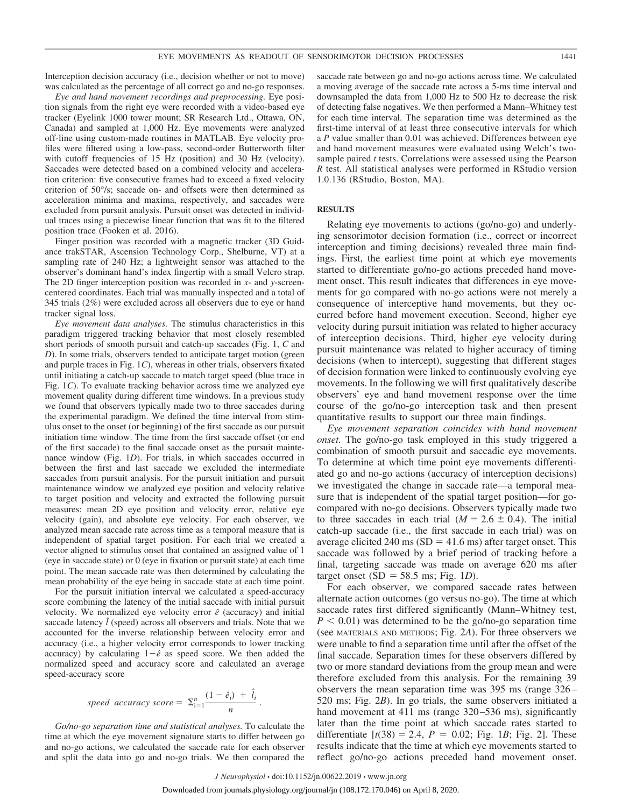Interception decision accuracy (i.e., decision whether or not to move) was calculated as the percentage of all correct go and no-go responses.

*Eye and hand movement recordings and preprocessing.* Eye position signals from the right eye were recorded with a video-based eye tracker (Eyelink 1000 tower mount; SR Research Ltd., Ottawa, ON, Canada) and sampled at 1,000 Hz. Eye movements were analyzed off-line using custom-made routines in MATLAB. Eye velocity profiles were filtered using a low-pass, second-order Butterworth filter with cutoff frequencies of 15 Hz (position) and 30 Hz (velocity). Saccades were detected based on a combined velocity and acceleration criterion: five consecutive frames had to exceed a fixed velocity criterion of 50°/s; saccade on- and offsets were then determined as acceleration minima and maxima, respectively, and saccades were excluded from pursuit analysis. Pursuit onset was detected in individual traces using a piecewise linear function that was fit to the filtered position trace (Fooken et al. 2016).

Finger position was recorded with a magnetic tracker (3D Guidance trakSTAR, Ascension Technology Corp., Shelburne, VT) at a sampling rate of 240 Hz; a lightweight sensor was attached to the observer's dominant hand's index fingertip with a small Velcro strap. The 2D finger interception position was recorded in *x*- and *y*-screencentered coordinates. Each trial was manually inspected and a total of 345 trials (2%) were excluded across all observers due to eye or hand tracker signal loss.

*Eye movement data analyses.* The stimulus characteristics in this paradigm triggered tracking behavior that most closely resembled short periods of smooth pursuit and catch-up saccades (Fig. 1, *C* and *D*). In some trials, observers tended to anticipate target motion (green and purple traces in Fig. 1*C*), whereas in other trials, observers fixated until initiating a catch-up saccade to match target speed (blue trace in Fig. 1*C*). To evaluate tracking behavior across time we analyzed eye movement quality during different time windows. In a previous study we found that observers typically made two to three saccades during the experimental paradigm. We defined the time interval from stimulus onset to the onset (or beginning) of the first saccade as our pursuit initiation time window. The time from the first saccade offset (or end of the first saccade) to the final saccade onset as the pursuit maintenance window (Fig. 1*D*). For trials, in which saccades occurred in between the first and last saccade we excluded the intermediate saccades from pursuit analysis. For the pursuit initiation and pursuit maintenance window we analyzed eye position and velocity relative to target position and velocity and extracted the following pursuit measures: mean 2D eye position and velocity error, relative eye velocity (gain), and absolute eye velocity. For each observer, we analyzed mean saccade rate across time as a temporal measure that is independent of spatial target position. For each trial we created a vector aligned to stimulus onset that contained an assigned value of 1 (eye in saccade state) or 0 (eye in fixation or pursuit state) at each time point. The mean saccade rate was then determined by calculating the mean probability of the eye being in saccade state at each time point.

For the pursuit initiation interval we calculated a speed-accuracy score combining the latency of the initial saccade with initial pursuit velocity. We normalized eye velocity error  $\hat{e}$  (accuracy) and initial saccade latency  $\hat{l}$  (speed) across all observers and trials. Note that we accounted for the inverse relationship between velocity error and accuracy (i.e., a higher velocity error corresponds to lower tracking accuracy) by calculating  $1-\hat{e}$  as speed score. We then added the normalized speed and accuracy score and calculated an average speed-accuracy score

$$
speed accuracy score = \sum_{i=1}^{n} \frac{(1-\hat{e}_i) + \hat{l}_i}{n}.
$$

*Go/no-go separation time and statistical analyses.* To calculate the time at which the eye movement signature starts to differ between go and no-go actions, we calculated the saccade rate for each observer and split the data into go and no-go trials. We then compared the

saccade rate between go and no-go actions across time. We calculated a moving average of the saccade rate across a 5-ms time interval and downsampled the data from 1,000 Hz to 500 Hz to decrease the risk of detecting false negatives. We then performed a Mann–Whitney test for each time interval. The separation time was determined as the first-time interval of at least three consecutive intervals for which a *P* value smaller than 0.01 was achieved. Differences between eye and hand movement measures were evaluated using Welch's twosample paired *t* tests. Correlations were assessed using the Pearson *R* test. All statistical analyses were performed in RStudio version 1.0.136 (RStudio, Boston, MA).

#### **RESULTS**

Relating eye movements to actions (go/no-go) and underlying sensorimotor decision formation (i.e., correct or incorrect interception and timing decisions) revealed three main findings. First, the earliest time point at which eye movements started to differentiate go/no-go actions preceded hand movement onset. This result indicates that differences in eye movements for go compared with no-go actions were not merely a consequence of interceptive hand movements, but they occurred before hand movement execution. Second, higher eye velocity during pursuit initiation was related to higher accuracy of interception decisions. Third, higher eye velocity during pursuit maintenance was related to higher accuracy of timing decisions (when to intercept), suggesting that different stages of decision formation were linked to continuously evolving eye movements. In the following we will first qualitatively describe observers' eye and hand movement response over the time course of the go/no-go interception task and then present quantitative results to support our three main findings.

*Eye movement separation coincides with hand movement onset.* The go/no-go task employed in this study triggered a combination of smooth pursuit and saccadic eye movements. To determine at which time point eye movements differentiated go and no-go actions (accuracy of interception decisions) we investigated the change in saccade rate—a temporal measure that is independent of the spatial target position—for gocompared with no-go decisions. Observers typically made two to three saccades in each trial  $(M = 2.6 \pm 0.4)$ . The initial catch-up saccade (i.e., the first saccade in each trial) was on average elicited 240 ms  $(SD = 41.6 \text{ ms})$  after target onset. This saccade was followed by a brief period of tracking before a final, targeting saccade was made on average 620 ms after target onset  $(SD = 58.5 \text{ ms}; \text{Fig. } 1D)$ .

For each observer, we compared saccade rates between alternate action outcomes (go versus no-go). The time at which saccade rates first differed significantly (Mann–Whitney test,  $P < 0.01$ ) was determined to be the go/no-go separation time (see MATERIALS AND METHODS; Fig. 2*A*). For three observers we were unable to find a separation time until after the offset of the final saccade. Separation times for these observers differed by two or more standard deviations from the group mean and were therefore excluded from this analysis. For the remaining 39 observers the mean separation time was 395 ms (range 326 – 520 ms; Fig. 2*B*). In go trials, the same observers initiated a hand movement at 411 ms (range 320–536 ms), significantly later than the time point at which saccade rates started to differentiate  $[t(38) = 2.4, P = 0.02;$  Fig. 1*B*; Fig. 2]. These results indicate that the time at which eye movements started to reflect go/no-go actions preceded hand movement onset.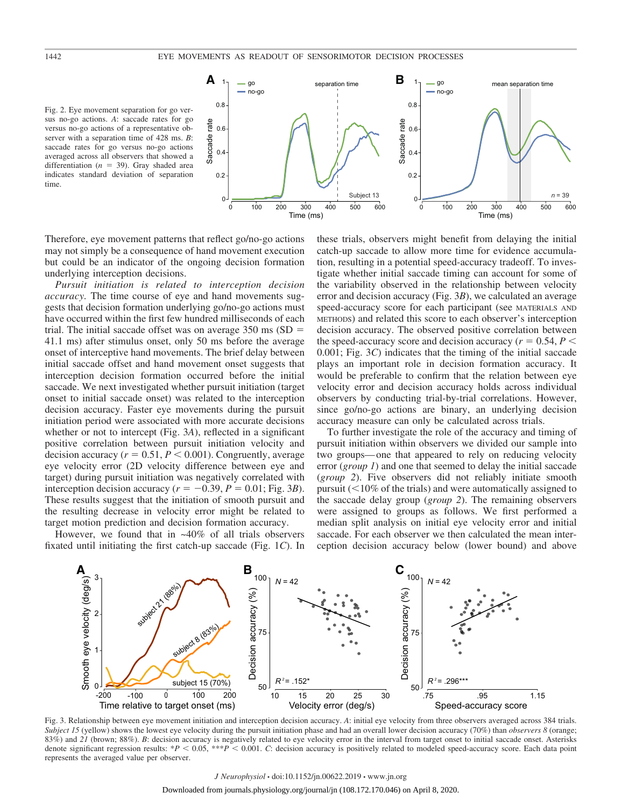Fig. 2. Eye movement separation for go versus no-go actions. *A*: saccade rates for go versus no-go actions of a representative observer with a separation time of 428 ms. *B*: saccade rates for go versus no-go actions averaged across all observers that showed a differentiation  $(n = 39)$ . Gray shaded area indicates standard deviation of separation time.



Therefore, eye movement patterns that reflect go/no-go actions may not simply be a consequence of hand movement execution but could be an indicator of the ongoing decision formation underlying interception decisions.

*Pursuit initiation is related to interception decision accuracy.* The time course of eye and hand movements suggests that decision formation underlying go/no-go actions must have occurred within the first few hundred milliseconds of each trial. The initial saccade offset was on average  $350 \text{ ms}$  (SD = 41.1 ms) after stimulus onset, only 50 ms before the average onset of interceptive hand movements. The brief delay between initial saccade offset and hand movement onset suggests that interception decision formation occurred before the initial saccade. We next investigated whether pursuit initiation (target onset to initial saccade onset) was related to the interception decision accuracy. Faster eye movements during the pursuit initiation period were associated with more accurate decisions whether or not to intercept (Fig. 3*A*), reflected in a significant positive correlation between pursuit initiation velocity and decision accuracy  $(r = 0.51, P \le 0.001)$ . Congruently, average eye velocity error (2D velocity difference between eye and target) during pursuit initiation was negatively correlated with interception decision accuracy ( $r = -0.39$ ,  $P = 0.01$ ; Fig. 3*B*). These results suggest that the initiation of smooth pursuit and the resulting decrease in velocity error might be related to target motion prediction and decision formation accuracy.

However, we found that in ~40% of all trials observers fixated until initiating the first catch-up saccade (Fig. 1*C*). In

these trials, observers might benefit from delaying the initial catch-up saccade to allow more time for evidence accumulation, resulting in a potential speed-accuracy tradeoff. To investigate whether initial saccade timing can account for some of the variability observed in the relationship between velocity error and decision accuracy (Fig. 3*B*), we calculated an average speed-accuracy score for each participant (see MATERIALS AND METHODS) and related this score to each observer's interception decision accuracy. The observed positive correlation between the speed-accuracy score and decision accuracy ( $r = 0.54$ ,  $P <$ 0.001; Fig. 3*C*) indicates that the timing of the initial saccade plays an important role in decision formation accuracy. It would be preferable to confirm that the relation between eye velocity error and decision accuracy holds across individual observers by conducting trial-by-trial correlations. However, since go/no-go actions are binary, an underlying decision accuracy measure can only be calculated across trials.

To further investigate the role of the accuracy and timing of pursuit initiation within observers we divided our sample into two groups— one that appeared to rely on reducing velocity error (*group 1*) and one that seemed to delay the initial saccade (*group 2*). Five observers did not reliably initiate smooth pursuit  $(10\% \text{ of the trials})$  and were automatically assigned to the saccade delay group (*group 2*). The remaining observers were assigned to groups as follows. We first performed a median split analysis on initial eye velocity error and initial saccade. For each observer we then calculated the mean interception decision accuracy below (lower bound) and above



Fig. 3. Relationship between eye movement initiation and interception decision accuracy. *A*: initial eye velocity from three observers averaged across 384 trials. *Subject 15* (yellow) shows the lowest eye velocity during the pursuit initiation phase and had an overall lower decision accuracy (70%) than *observers 8* (orange; 83%) and 21 (brown; 88%). *B*: decision accuracy is negatively related to eye velocity error in the interval from target onset to initial saccade onset. Asterisks denote significant regression results: \**P* < 0.05, \*\*\**P* < 0.001. *C*: decision accuracy is positively related to modeled speed-accuracy score. Each data point represents the averaged value per observer.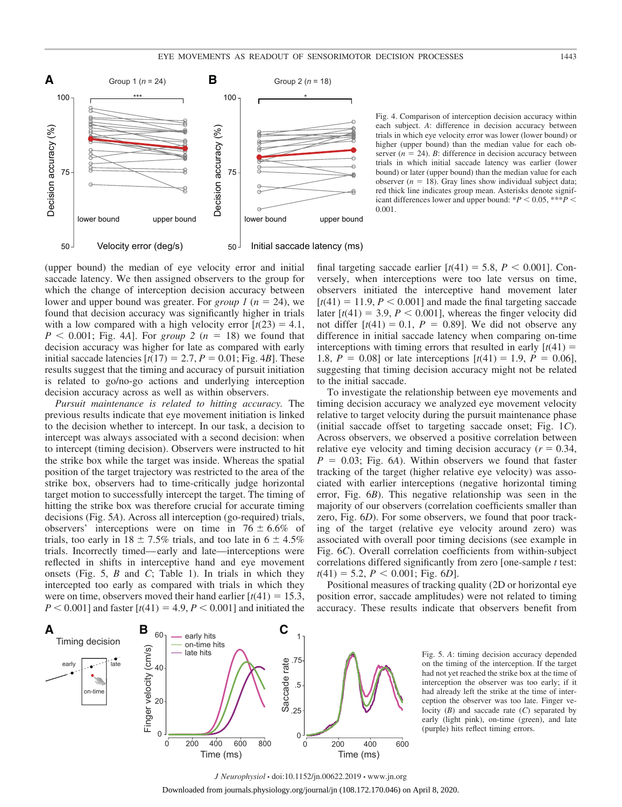

Fig. 4. Comparison of interception decision accuracy within each subject. *A*: difference in decision accuracy between trials in which eye velocity error was lower (lower bound) or higher (upper bound) than the median value for each observer  $(n = 24)$ . *B*: difference in decision accuracy between trials in which initial saccade latency was earlier (lower bound) or later (upper bound) than the median value for each observer  $(n = 18)$ . Gray lines show individual subject data; red thick line indicates group mean. Asterisks denote significant differences lower and upper bound:  $*P < 0.05$ ,  $***P <$ 0.001.

(upper bound) the median of eye velocity error and initial saccade latency. We then assigned observers to the group for which the change of interception decision accuracy between lower and upper bound was greater. For *group*  $1 (n = 24)$ , we found that decision accuracy was significantly higher in trials with a low compared with a high velocity error  $[t(23) = 4.1]$ ,  $P < 0.001$ ; Fig. 4*A*]. For *group* 2 ( $n = 18$ ) we found that decision accuracy was higher for late as compared with early initial saccade latencies  $[t(17) = 2.7, P = 0.01; Fig. 4B]$ . These results suggest that the timing and accuracy of pursuit initiation is related to go/no-go actions and underlying interception decision accuracy across as well as within observers.

*Pursuit maintenance is related to hitting accuracy.* The previous results indicate that eye movement initiation is linked to the decision whether to intercept. In our task, a decision to intercept was always associated with a second decision: when to intercept (timing decision). Observers were instructed to hit the strike box while the target was inside. Whereas the spatial position of the target trajectory was restricted to the area of the strike box, observers had to time-critically judge horizontal target motion to successfully intercept the target. The timing of hitting the strike box was therefore crucial for accurate timing decisions (Fig. 5*A*). Across all interception (go-required) trials, observers' interceptions were on time in  $76 \pm 6.6\%$  of trials, too early in  $18 \pm 7.5\%$  trials, and too late in  $6 \pm 4.5\%$ trials. Incorrectly timed— early and late—interceptions were reflected in shifts in interceptive hand and eye movement onsets (Fig. 5, *B* and *C*; Table 1). In trials in which they intercepted too early as compared with trials in which they were on time, observers moved their hand earlier  $[t(41) = 15.3]$ ,  $P < 0.001$ ] and faster  $[t(41) = 4.9, P < 0.001]$  and initiated the

final targeting saccade earlier  $[t(41) = 5.8, P < 0.001]$ . Conversely, when interceptions were too late versus on time, observers initiated the interceptive hand movement later  $[t(41) = 11.9, P < 0.001]$  and made the final targeting saccade later  $[t(41) = 3.9, P < 0.001]$ , whereas the finger velocity did not differ  $[t(41) = 0.1, P = 0.89]$ . We did not observe any difference in initial saccade latency when comparing on-time interceptions with timing errors that resulted in early  $[t(41) =$ 1.8,  $P = 0.08$  or late interceptions  $[t(41) = 1.9, P = 0.06]$ , suggesting that timing decision accuracy might not be related to the initial saccade.

To investigate the relationship between eye movements and timing decision accuracy we analyzed eye movement velocity relative to target velocity during the pursuit maintenance phase (initial saccade offset to targeting saccade onset; Fig. 1*C*). Across observers, we observed a positive correlation between relative eye velocity and timing decision accuracy  $(r = 0.34,$  $P = 0.03$ ; Fig. 6*A*). Within observers we found that faster tracking of the target (higher relative eye velocity) was associated with earlier interceptions (negative horizontal timing error, Fig. 6*B*). This negative relationship was seen in the majority of our observers (correlation coefficients smaller than zero, Fig. 6*D*). For some observers, we found that poor tracking of the target (relative eye velocity around zero) was associated with overall poor timing decisions (see example in Fig. 6*C*). Overall correlation coefficients from within-subject correlations differed significantly from zero [one-sample *t* test:  $t(41) = 5.2, P < 0.001$ ; Fig. 6*D*].

Positional measures of tracking quality (2D or horizontal eye position error, saccade amplitudes) were not related to timing accuracy. These results indicate that observers benefit from



Fig. 5. *A*: timing decision accuracy depended on the timing of the interception. If the target had not yet reached the strike box at the time of interception the observer was too early; if it had already left the strike at the time of interception the observer was too late. Finger velocity (*B*) and saccade rate (*C*) separated by early (light pink), on-time (green), and late (purple) hits reflect timing errors.

*J Neurophysiol* • doi:10.1152/jn.00622.2019 • www.jn.org Downloaded from journals.physiology.org/journal/jn (108.172.170.046) on April 8, 2020.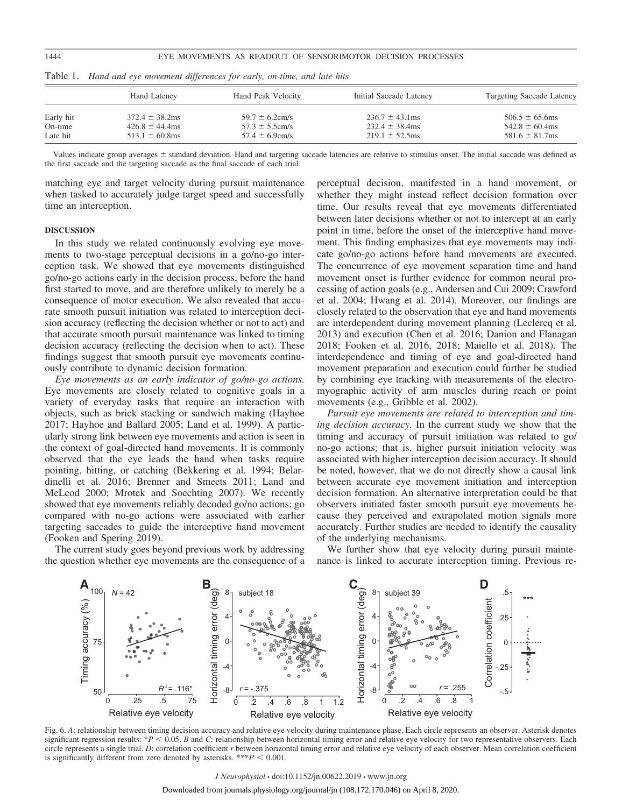|                      | Hand Latency                               | Hand Peak Velocity                         | Initial Saccade Latency                    | Targeting Saccade Latency                  |
|----------------------|--------------------------------------------|--------------------------------------------|--------------------------------------------|--------------------------------------------|
| Early hit<br>On-time | $372.4 \pm 38.2$ ms<br>$426.8 \pm 44.4$ ms | $59.7 \pm 6.2$ cm/s<br>$57.3 \pm 5.5$ cm/s | $236.7 \pm 43.1$ ms<br>$232.4 \pm 38.4$ ms | $506.5 \pm 65.6$ ms<br>$542.8 \pm 60.4$ ms |
| Late hit             | $513.1 \pm 60.8$ ms                        | $57.4 \pm 6.9$ cm/s                        | $219.1 \pm 52.5$ ms                        | $581.6 \pm 81.7$ ms                        |

Table 1. *Hand and eye movement differences for early, on-time, and late hits*

Values indicate group averages  $\pm$  standard deviation. Hand and targeting saccade latencies are relative to stimulus onset. The initial saccade was defined as the first saccade and the targeting saccade as the final saccade of each trial.

matching eye and target velocity during pursuit maintenance when tasked to accurately judge target speed and successfully time an interception.

#### **DISCUSSION**

In this study we related continuously evolving eye movements to two-stage perceptual decisions in a go/no-go interception task. We showed that eye movements distinguished go/no-go actions early in the decision process, before the hand first started to move, and are therefore unlikely to merely be a consequence of motor execution. We also revealed that accurate smooth pursuit initiation was related to interception decision accuracy (reflecting the decision whether or not to act) and that accurate smooth pursuit maintenance was linked to timing decision accuracy (reflecting the decision when to act). These findings suggest that smooth pursuit eye movements continuously contribute to dynamic decision formation.

*Eye movements as an early indicator of go/no-go actions.* Eye movements are closely related to cognitive goals in a variety of everyday tasks that require an interaction with objects, such as brick stacking or sandwich making (Hayhoe 2017; Hayhoe and Ballard 2005; Land et al. 1999). A particularly strong link between eye movements and action is seen in the context of goal-directed hand movements. It is commonly observed that the eye leads the hand when tasks require pointing, hitting, or catching (Bekkering et al. 1994; Belardinelli et al. 2016; Brenner and Smeets 2011; Land and McLeod 2000; Mrotek and Soechting 2007). We recently showed that eye movements reliably decoded go/no actions; go compared with no-go actions were associated with earlier targeting saccades to guide the interceptive hand movement (Fooken and Spering 2019).

The current study goes beyond previous work by addressing the question whether eye movements are the consequence of a perceptual decision, manifested in a hand movement, or whether they might instead reflect decision formation over time. Our results reveal that eye movements differentiated between later decisions whether or not to intercept at an early point in time, before the onset of the interceptive hand movement. This finding emphasizes that eye movements may indicate go/no-go actions before hand movements are executed. The concurrence of eye movement separation time and hand movement onset is further evidence for common neural processing of action goals (e.g., Andersen and Cui 2009; Crawford et al. 2004; Hwang et al. 2014). Moreover, our findings are closely related to the observation that eye and hand movements are interdependent during movement planning (Leclercq et al. 2013) and execution (Chen et al. 2016; Danion and Flanagan 2018; Fooken et al. 2016, 2018; Maiello et al. 2018). The interdependence and timing of eye and goal-directed hand movement preparation and execution could further be studied by combining eye tracking with measurements of the electromyographic activity of arm muscles during reach or point movements (e.g., Gribble et al. 2002).

*Pursuit eye movements are related to interception and timing decision accuracy.* In the current study we show that the timing and accuracy of pursuit initiation was related to go/ no-go actions; that is, higher pursuit initiation velocity was associated with higher interception decision accuracy. It should be noted, however, that we do not directly show a causal link between accurate eye movement initiation and interception decision formation. An alternative interpretation could be that observers initiated faster smooth pursuit eye movements because they perceived and extrapolated motion signals more accurately. Further studies are needed to identify the causality of the underlying mechanisms.

We further show that eye velocity during pursuit maintenance is linked to accurate interception timing. Previous re-



Fig. 6. *A*: relationship between timing decision accuracy and relative eye velocity during maintenance phase. Each circle represents an observer. Asterisk denotes significant regression results:  $*P < 0.05$ . *B* and *C*: relationship between horizontal timing error and relative eye velocity for two representative observers. Each circle represents a single trial. *D*: correlation coefficient *r* between horizontal timing error and relative eye velocity of each observer. Mean correlation coefficient is significantly different from zero denoted by asterisks.  $**P < 0.001$ .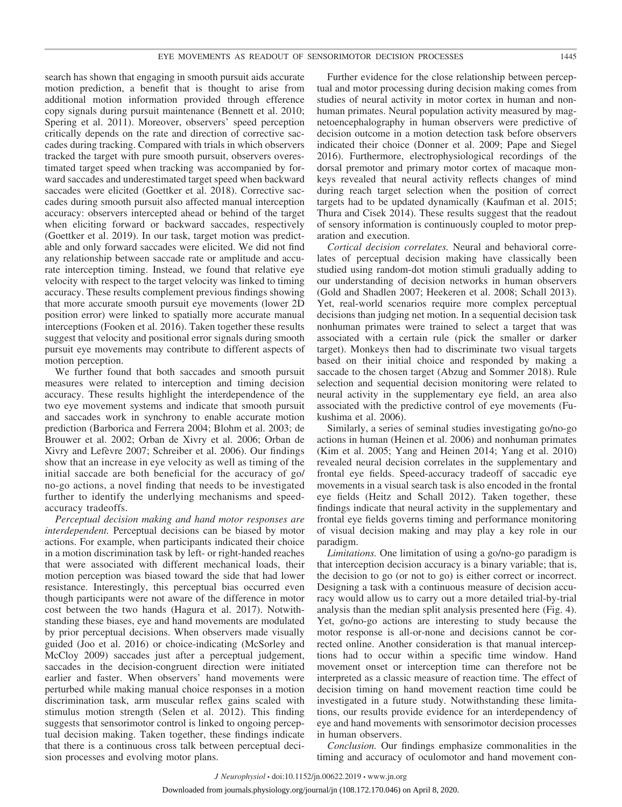search has shown that engaging in smooth pursuit aids accurate motion prediction, a benefit that is thought to arise from additional motion information provided through efference copy signals during pursuit maintenance (Bennett et al. 2010; Spering et al. 2011). Moreover, observers' speed perception critically depends on the rate and direction of corrective saccades during tracking. Compared with trials in which observers tracked the target with pure smooth pursuit, observers overestimated target speed when tracking was accompanied by forward saccades and underestimated target speed when backward saccades were elicited (Goettker et al. 2018). Corrective saccades during smooth pursuit also affected manual interception accuracy: observers intercepted ahead or behind of the target when eliciting forward or backward saccades, respectively (Goettker et al. 2019). In our task, target motion was predictable and only forward saccades were elicited. We did not find any relationship between saccade rate or amplitude and accurate interception timing. Instead, we found that relative eye velocity with respect to the target velocity was linked to timing accuracy. These results complement previous findings showing that more accurate smooth pursuit eye movements (lower 2D position error) were linked to spatially more accurate manual interceptions (Fooken et al. 2016). Taken together these results suggest that velocity and positional error signals during smooth pursuit eye movements may contribute to different aspects of motion perception.

We further found that both saccades and smooth pursuit measures were related to interception and timing decision accuracy. These results highlight the interdependence of the two eye movement systems and indicate that smooth pursuit and saccades work in synchrony to enable accurate motion prediction (Barborica and Ferrera 2004; Blohm et al. 2003; de Brouwer et al. 2002; Orban de Xivry et al. 2006; Orban de Xivry and Lefèvre 2007; Schreiber et al. 2006). Our findings show that an increase in eye velocity as well as timing of the initial saccade are both beneficial for the accuracy of go/ no-go actions, a novel finding that needs to be investigated further to identify the underlying mechanisms and speedaccuracy tradeoffs.

*Perceptual decision making and hand motor responses are interdependent.* Perceptual decisions can be biased by motor actions. For example, when participants indicated their choice in a motion discrimination task by left- or right-handed reaches that were associated with different mechanical loads, their motion perception was biased toward the side that had lower resistance. Interestingly, this perceptual bias occurred even though participants were not aware of the difference in motor cost between the two hands (Hagura et al. 2017). Notwithstanding these biases, eye and hand movements are modulated by prior perceptual decisions. When observers made visually guided (Joo et al. 2016) or choice-indicating (McSorley and McCloy 2009) saccades just after a perceptual judgement, saccades in the decision-congruent direction were initiated earlier and faster. When observers' hand movements were perturbed while making manual choice responses in a motion discrimination task, arm muscular reflex gains scaled with stimulus motion strength (Selen et al. 2012). This finding suggests that sensorimotor control is linked to ongoing perceptual decision making. Taken together, these findings indicate that there is a continuous cross talk between perceptual decision processes and evolving motor plans.

Further evidence for the close relationship between perceptual and motor processing during decision making comes from studies of neural activity in motor cortex in human and nonhuman primates. Neural population activity measured by magnetoencephalography in human observers were predictive of decision outcome in a motion detection task before observers indicated their choice (Donner et al. 2009; Pape and Siegel 2016). Furthermore, electrophysiological recordings of the dorsal premotor and primary motor cortex of macaque monkeys revealed that neural activity reflects changes of mind during reach target selection when the position of correct targets had to be updated dynamically (Kaufman et al. 2015; Thura and Cisek 2014). These results suggest that the readout of sensory information is continuously coupled to motor preparation and execution.

*Cortical decision correlates.* Neural and behavioral correlates of perceptual decision making have classically been studied using random-dot motion stimuli gradually adding to our understanding of decision networks in human observers (Gold and Shadlen 2007; Heekeren et al. 2008; Schall 2013). Yet, real-world scenarios require more complex perceptual decisions than judging net motion. In a sequential decision task nonhuman primates were trained to select a target that was associated with a certain rule (pick the smaller or darker target). Monkeys then had to discriminate two visual targets based on their initial choice and responded by making a saccade to the chosen target (Abzug and Sommer 2018). Rule selection and sequential decision monitoring were related to neural activity in the supplementary eye field, an area also associated with the predictive control of eye movements (Fukushima et al. 2006).

Similarly, a series of seminal studies investigating go/no-go actions in human (Heinen et al. 2006) and nonhuman primates (Kim et al. 2005; Yang and Heinen 2014; Yang et al. 2010) revealed neural decision correlates in the supplementary and frontal eye fields. Speed-accuracy tradeoff of saccadic eye movements in a visual search task is also encoded in the frontal eye fields (Heitz and Schall 2012). Taken together, these findings indicate that neural activity in the supplementary and frontal eye fields governs timing and performance monitoring of visual decision making and may play a key role in our paradigm.

*Limitations.* One limitation of using a go/no-go paradigm is that interception decision accuracy is a binary variable; that is, the decision to go (or not to go) is either correct or incorrect. Designing a task with a continuous measure of decision accuracy would allow us to carry out a more detailed trial-by-trial analysis than the median split analysis presented here (Fig. 4). Yet, go/no-go actions are interesting to study because the motor response is all-or-none and decisions cannot be corrected online. Another consideration is that manual interceptions had to occur within a specific time window. Hand movement onset or interception time can therefore not be interpreted as a classic measure of reaction time. The effect of decision timing on hand movement reaction time could be investigated in a future study. Notwithstanding these limitations, our results provide evidence for an interdependency of eye and hand movements with sensorimotor decision processes in human observers.

*Conclusion.* Our findings emphasize commonalities in the timing and accuracy of oculomotor and hand movement con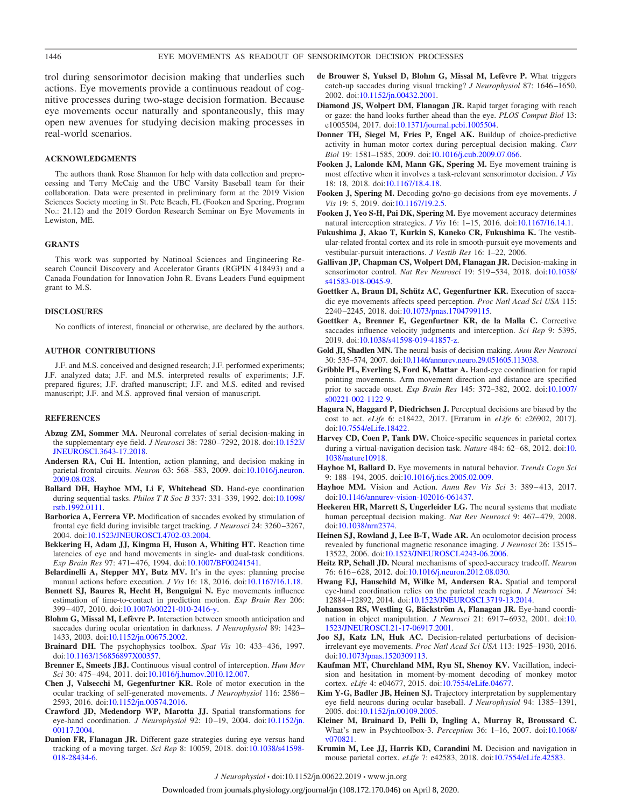trol during sensorimotor decision making that underlies such actions. Eye movements provide a continuous readout of cognitive processes during two-stage decision formation. Because eye movements occur naturally and spontaneously, this may open new avenues for studying decision making processes in real-world scenarios.

#### **ACKNOWLEDGMENTS**

The authors thank Rose Shannon for help with data collection and preprocessing and Terry McCaig and the UBC Varsity Baseball team for their collaboration. Data were presented in preliminary form at the 2019 Vision Sciences Society meeting in St. Pete Beach, FL (Fooken and Spering, Program No.: 21.12) and the 2019 Gordon Research Seminar on Eye Movements in Lewiston, ME.

#### **GRANTS**

This work was supported by Natinoal Sciences and Engineering Research Council Discovery and Accelerator Grants (RGPIN 418493) and a Canada Foundation for Innovation John R. Evans Leaders Fund equipment grant to M.S.

#### **DISCLOSURES**

No conflicts of interest, financial or otherwise, are declared by the authors.

#### **AUTHOR CONTRIBUTIONS**

J.F. and M.S. conceived and designed research; J.F. performed experiments; J.F. analyzed data; J.F. and M.S. interpreted results of experiments; J.F. prepared figures; J.F. drafted manuscript; J.F. and M.S. edited and revised manuscript; J.F. and M.S. approved final version of manuscript.

#### **REFERENCES**

- **Abzug ZM, Sommer MA.** Neuronal correlates of serial decision-making in the supplementary eye field. *J Neurosci* 38: 7280 –7292, 2018. doi[:10.1523/](https://doi.org/10.1523/JNEUROSCI.3643-17.2018) [JNEUROSCI.3643-17.2018.](https://doi.org/10.1523/JNEUROSCI.3643-17.2018)
- **Andersen RA, Cui H.** Intention, action planning, and decision making in parietal-frontal circuits. *Neuron* 63: 568 –583, 2009. doi[:10.1016/j.neuron.](https://doi.org/10.1016/j.neuron.2009.08.028) [2009.08.028.](https://doi.org/10.1016/j.neuron.2009.08.028)
- **Ballard DH, Hayhoe MM, Li F, Whitehead SD.** Hand-eye coordination during sequential tasks. *Philos T R Soc B* 337: 331–339, 1992. doi[:10.1098/](https://doi.org/10.1098/rstb.1992.0111) [rstb.1992.0111.](https://doi.org/10.1098/rstb.1992.0111)
- **Barborica A, Ferrera VP.** Modification of saccades evoked by stimulation of frontal eye field during invisible target tracking. *J Neurosci* 24: 3260 –3267, 2004. doi[:10.1523/JNEUROSCI.4702-03.2004.](https://doi.org/10.1523/JNEUROSCI.4702-03.2004)
- **Bekkering H, Adam JJ, Kingma H, Huson A, Whiting HT.** Reaction time latencies of eye and hand movements in single- and dual-task conditions. *Exp Brain Res* 97: 471– 476, 1994. doi[:10.1007/BF00241541.](https://doi.org/10.1007/BF00241541)
- **Belardinelli A, Stepper MY, Butz MV.** It's in the eyes: planning precise manual actions before execution. *J Vis* 16: 18, 2016. doi[:10.1167/16.1.18.](https://doi.org/10.1167/16.1.18)
- **Bennett SJ, Baures R, Hecht H, Benguigui N.** Eye movements influence estimation of time-to-contact in prediction motion. *Exp Brain Res* 206: 399 – 407, 2010. doi[:10.1007/s00221-010-2416-y.](https://doi.org/10.1007/s00221-010-2416-y)
- **Blohm G, Missal M, Lefèvre P.** Interaction between smooth anticipation and saccades during ocular orientation in darkness. *J Neurophysiol* 89: 1423– 1433, 2003. doi[:10.1152/jn.00675.2002.](https://doi.org/10.1152/jn.00675.2002)
- **Brainard DH.** The psychophysics toolbox. *Spat Vis* 10: 433– 436, 1997. doi[:10.1163/156856897X00357.](https://doi.org/10.1163/156856897X00357)
- **Brenner E, Smeets JBJ.** Continuous visual control of interception. *Hum Mov Sci* 30: 475– 494, 2011. doi[:10.1016/j.humov.2010.12.007.](https://doi.org/10.1016/j.humov.2010.12.007)
- **Chen J, Valsecchi M, Gegenfurtner KR.** Role of motor execution in the ocular tracking of self-generated movements. *J Neurophysiol* 116: 2586 – 2593, 2016. doi[:10.1152/jn.00574.2016.](https://doi.org/10.1152/jn.00574.2016)
- **Crawford JD, Medendorp WP, Marotta JJ.** Spatial transformations for eye-hand coordination. *J Neurophysiol* 92: 10 –19, 2004. doi[:10.1152/jn.](https://doi.org/10.1152/jn.00117.2004) [00117.2004.](https://doi.org/10.1152/jn.00117.2004)
- **Danion FR, Flanagan JR.** Different gaze strategies during eye versus hand tracking of a moving target. *Sci Rep* 8: 10059, 2018. doi[:10.1038/s41598-](https://doi.org/10.1038/s41598-018-28434-6) [018-28434-6.](https://doi.org/10.1038/s41598-018-28434-6)
- **de Brouwer S, Yuksel D, Blohm G, Missal M, Lefèvre P.** What triggers catch-up saccades during visual tracking? *J Neurophysiol* 87: 1646 –1650, 2002. doi[:10.1152/jn.00432.2001.](https://doi.org/10.1152/jn.00432.2001)
- **Diamond JS, Wolpert DM, Flanagan JR.** Rapid target foraging with reach or gaze: the hand looks further ahead than the eye. *PLOS Comput Biol* 13: e1005504, 2017. doi[:10.1371/journal.pcbi.1005504.](https://doi.org/10.1371/journal.pcbi.1005504)
- **Donner TH, Siegel M, Fries P, Engel AK.** Buildup of choice-predictive activity in human motor cortex during perceptual decision making. *Curr Biol* 19: 1581–1585, 2009. doi[:10.1016/j.cub.2009.07.066.](https://doi.org/10.1016/j.cub.2009.07.066)
- **Fooken J, Lalonde KM, Mann GK, Spering M.** Eye movement training is most effective when it involves a task-relevant sensorimotor decision. *J Vis* 18: 18, 2018. doi[:10.1167/18.4.18.](https://doi.org/10.1167/18.4.18)
- **Fooken J, Spering M.** Decoding go/no-go decisions from eye movements. *J Vis* 19: 5, 2019. doi[:10.1167/19.2.5.](https://doi.org/10.1167/19.2.5)
- **Fooken J, Yeo S-H, Pai DK, Spering M.** Eye movement accuracy determines natural interception strategies. *J Vis* 16: 1–15, 2016. doi[:10.1167/16.14.1.](https://doi.org/10.1167/16.14.1)
- **Fukushima J, Akao T, Kurkin S, Kaneko CR, Fukushima K.** The vestibular-related frontal cortex and its role in smooth-pursuit eye movements and vestibular-pursuit interactions. *J Vestib Res* 16: 1–22, 2006.
- **Gallivan JP, Chapman CS, Wolpert DM, Flanagan JR.** Decision-making in sensorimotor control. *Nat Rev Neurosci* 19: 519 –534, 2018. doi[:10.1038/](https://doi.org/10.1038/s41583-018-0045-9) [s41583-018-0045-9.](https://doi.org/10.1038/s41583-018-0045-9)
- **Goettker A, Braun DI, Schütz AC, Gegenfurtner KR.** Execution of saccadic eye movements affects speed perception. *Proc Natl Acad Sci USA* 115: 2240 –2245, 2018. doi[:10.1073/pnas.1704799115.](https://doi.org/10.1073/pnas.1704799115)
- **Goettker A, Brenner E, Gegenfurtner KR, de la Malla C.** Corrective saccades influence velocity judgments and interception. *Sci Rep* 9: 5395, 2019. doi[:10.1038/s41598-019-41857-z.](https://doi.org/10.1038/s41598-019-41857-z)
- **Gold JI, Shadlen MN.** The neural basis of decision making. *Annu Rev Neurosci* 30: 535–574, 2007. doi[:10.1146/annurev.neuro.29.051605.113038.](https://doi.org/10.1146/annurev.neuro.29.051605.113038)
- **Gribble PL, Everling S, Ford K, Mattar A.** Hand-eye coordination for rapid pointing movements. Arm movement direction and distance are specified prior to saccade onset. *Exp Brain Res* 145: 372–382, 2002. doi[:10.1007/](https://doi.org/10.1007/s00221-002-1122-9) [s00221-002-1122-9.](https://doi.org/10.1007/s00221-002-1122-9)
- **Hagura N, Haggard P, Diedrichsen J.** Perceptual decisions are biased by the cost to act. *eLife* 6: e18422, 2017. [Erratum in *eLife* 6: e26902, 2017]. doi[:10.7554/eLife.18422.](https://doi.org/10.7554/eLife.18422)
- Harvey CD, Coen P, Tank DW. Choice-specific sequences in parietal cortex during a virtual-navigation decision task. *Nature* 484: 62-68, 2012. doi[:10.](https://doi.org/10.1038/nature10918) [1038/nature10918.](https://doi.org/10.1038/nature10918)
- **Hayhoe M, Ballard D.** Eye movements in natural behavior. *Trends Cogn Sci* 9: 188 –194, 2005. doi[:10.1016/j.tics.2005.02.009.](https://doi.org/10.1016/j.tics.2005.02.009)
- Hayhoe MM. Vision and Action. *Annu Rev Vis Sci* 3: 389-413, 2017. doi[:10.1146/annurev-vision-102016-061437.](https://doi.org/10.1146/annurev-vision-102016-061437)
- **Heekeren HR, Marrett S, Ungerleider LG.** The neural systems that mediate human perceptual decision making. *Nat Rev Neurosci* 9: 467–479, 2008. doi[:10.1038/nrn2374.](https://doi.org/10.1038/nrn2374)
- **Heinen SJ, Rowland J, Lee B-T, Wade AR.** An oculomotor decision process revealed by functional magnetic resonance imaging. *J Neurosci* 26: 13515– 13522, 2006. doi[:10.1523/JNEUROSCI.4243-06.2006.](https://doi.org/10.1523/JNEUROSCI.4243-06.2006)
- **Heitz RP, Schall JD.** Neural mechanisms of speed-accuracy tradeoff. *Neuron* 76: 616 – 628, 2012. doi[:10.1016/j.neuron.2012.08.030.](https://doi.org/10.1016/j.neuron.2012.08.030)
- **Hwang EJ, Hauschild M, Wilke M, Andersen RA.** Spatial and temporal eye-hand coordination relies on the parietal reach region. *J Neurosci* 34: 12884 –12892, 2014. doi[:10.1523/JNEUROSCI.3719-13.2014.](https://doi.org/10.1523/JNEUROSCI.3719-13.2014)
- **Johansson RS, Westling G, Bäckström A, Flanagan JR.** Eye-hand coordination in object manipulation. *J Neurosci* 21: 6917–6932, 2001. doi[:10.](https://doi.org/10.1523/JNEUROSCI.21-17-06917.2001) [1523/JNEUROSCI.21-17-06917.2001.](https://doi.org/10.1523/JNEUROSCI.21-17-06917.2001)
- **Joo SJ, Katz LN, Huk AC.** Decision-related perturbations of decisionirrelevant eye movements. *Proc Natl Acad Sci USA* 113: 1925–1930, 2016. doi[:10.1073/pnas.1520309113.](https://doi.org/10.1073/pnas.1520309113)
- **Kaufman MT, Churchland MM, Ryu SI, Shenoy KV.** Vacillation, indecision and hesitation in moment-by-moment decoding of monkey motor cortex. *eLife* 4: e04677, 2015. doi[:10.7554/eLife.04677.](https://doi.org/10.7554/eLife.04677)
- **Kim Y-G, Badler JB, Heinen SJ.** Trajectory interpretation by supplementary eye field neurons during ocular baseball. *J Neurophysiol* 94: 1385–1391, 2005. doi[:10.1152/jn.00109.2005.](https://doi.org/10.1152/jn.00109.2005)
- **Kleiner M, Brainard D, Pelli D, Ingling A, Murray R, Broussard C.** What's new in Psychtoolbox-3. *Perception* 36: 1–16, 2007. doi[:10.1068/](https://doi.org/10.1068/v070821) [v070821.](https://doi.org/10.1068/v070821)
- **Krumin M, Lee JJ, Harris KD, Carandini M.** Decision and navigation in mouse parietal cortex. *eLife* 7: e42583, 2018. doi[:10.7554/eLife.42583.](https://doi.org/10.7554/eLife.42583)